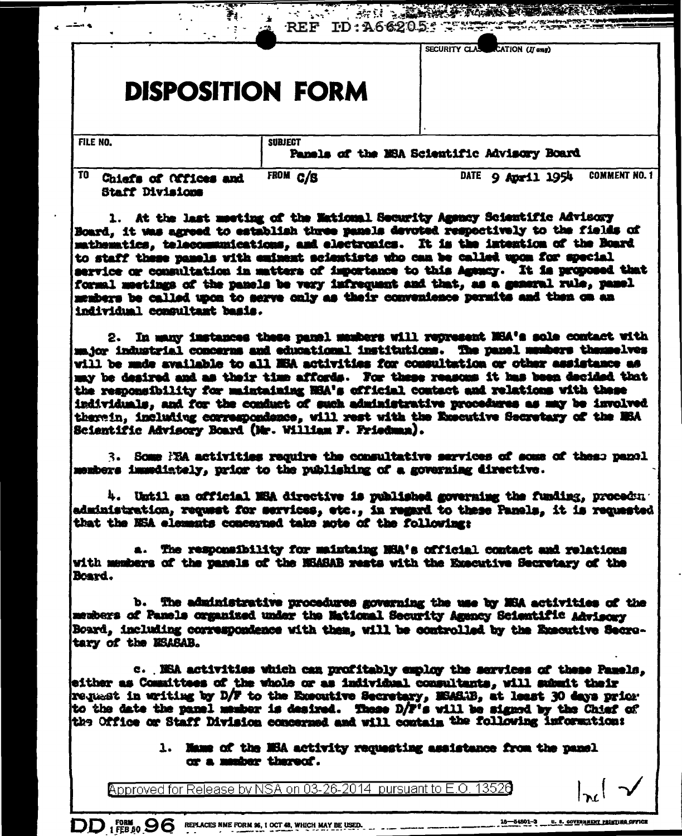|                 |                                                 |                | SECURITY CLAS CATION (If any)               |
|-----------------|-------------------------------------------------|----------------|---------------------------------------------|
|                 | <b>DISPOSITION FORM</b>                         |                |                                             |
| <b>FILE NO.</b> |                                                 | <b>SURJECT</b> | Panels of the MSA Scientific Advisory Board |
| TO              | Chiefs of Offices and<br><b>Staff Divisions</b> | FROM C/S       | <b>COMMENT NO. 1</b><br>DATE 9 April 1954   |

service or consultation in matters of importance to this Agency. It is proposed that formal meetings of the panels be very infrequent and that, as a general rule, panel members be called upon to serve only as their convenience permits and then on an individual consultant basis.

2. In many instances these manel manbers will represent MSA's sole contact with major industrial concerns and educational institutions. The panel members themselves will be made available to all MSA activities for consultation or other assistance as may be desired and as their time affords. For these reasons it has been decided that the responsibility for maintaining HSA's official contact and relations with these individuals, and for the conduct of such administrative procedures as may be involved therein, including correspondence, will rest with the Executive Secretary of the MSA Scientific Advisory Board (Mr. William F. Friedman).

3. Some FEA activities require the consultative services of some of these panel members immediately, prior to the publishing of a governing directive.

 $h$ . Until an official NSA directive is published governing the funding, procedur administration, request for services, etc., in regard to these Panels, it is requested that the NSA elements concerned take note of the following:

a. The responsibility for maintaing MHA's official contact and relations with members of the panels of the NRASAB rests with the Executive Secretary of the **Board.** 

b. The administrative procedures governing the use by NSA activities of the members of Panels organized under the Mational Security Agency Scientific Advisory Board, including correspondence with them, will be controlled by the Executive Secrotary of the ESASAB.

c. NEA activities which can profitably employ the services of these Pamels. either as Committees of the whole or as individual consultants, will submit their request in writing by D/F to the Executive Secretary, MSAS.1B, at least 30 days prior to the date the panel member is desired. These D/F's will be signed by the Chief of the Office or Staff Division concerned and will contain the following information:

> 1. Mame of the MSA activity requesting assistance from the panel or a member thereof.

Approved for Release by NSA on 03-26-2014 pursuant to E.O. 13526

DD : FORM 9 86 REPLACES NME FORM 96, I OCT 48, WHICH MAY BE USED.

18-54801-3 и. з. сочевиниет развивается